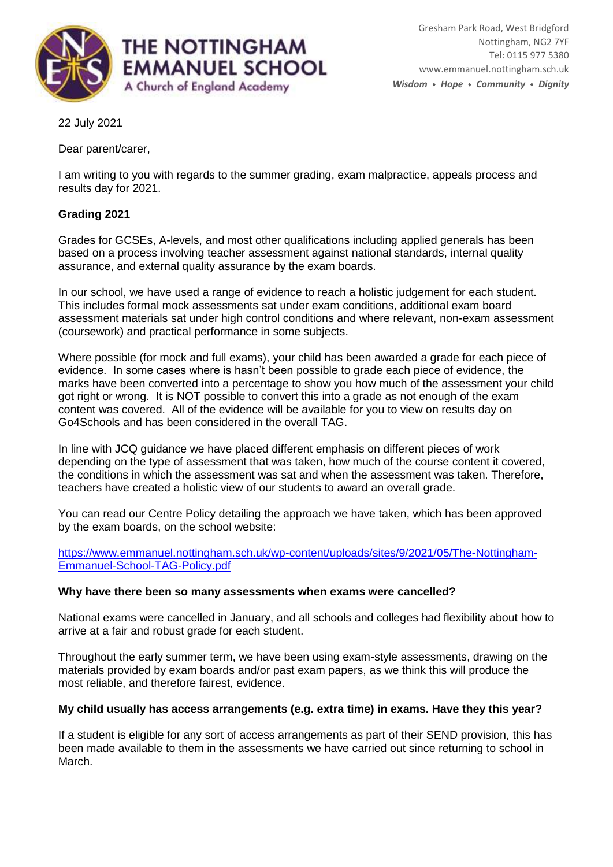

22 July 2021

Dear parent/carer,

I am writing to you with regards to the summer grading, exam malpractice, appeals process and results day for 2021.

# **Grading 2021**

Grades for GCSEs, A-levels, and most other qualifications including applied generals has been based on a process involving teacher assessment against national standards, internal quality assurance, and external quality assurance by the exam boards.

In our school, we have used a range of evidence to reach a holistic judgement for each student. This includes formal mock assessments sat under exam conditions, additional exam board assessment materials sat under high control conditions and where relevant, non-exam assessment (coursework) and practical performance in some subjects.

Where possible (for mock and full exams), your child has been awarded a grade for each piece of evidence. In some cases where is hasn't been possible to grade each piece of evidence, the marks have been converted into a percentage to show you how much of the assessment your child got right or wrong. It is NOT possible to convert this into a grade as not enough of the exam content was covered. All of the evidence will be available for you to view on results day on Go4Schools and has been considered in the overall TAG.

In line with JCQ guidance we have placed different emphasis on different pieces of work depending on the type of assessment that was taken, how much of the course content it covered, the conditions in which the assessment was sat and when the assessment was taken. Therefore, teachers have created a holistic view of our students to award an overall grade.

You can read our Centre Policy detailing the approach we have taken, which has been approved by the exam boards, on the school website:

[https://www.emmanuel.nottingham.sch.uk/wp-content/uploads/sites/9/2021/05/The-Nottingham-](https://www.emmanuel.nottingham.sch.uk/wp-content/uploads/sites/9/2021/05/The-Nottingham-Emmanuel-School-TAG-Policy.pdf)[Emmanuel-School-TAG-Policy.pdf](https://www.emmanuel.nottingham.sch.uk/wp-content/uploads/sites/9/2021/05/The-Nottingham-Emmanuel-School-TAG-Policy.pdf)

### **Why have there been so many assessments when exams were cancelled?**

National exams were cancelled in January, and all schools and colleges had flexibility about how to arrive at a fair and robust grade for each student.

Throughout the early summer term, we have been using exam-style assessments, drawing on the materials provided by exam boards and/or past exam papers, as we think this will produce the most reliable, and therefore fairest, evidence.

### **My child usually has access arrangements (e.g. extra time) in exams. Have they this year?**

If a student is eligible for any sort of access arrangements as part of their SEND provision, this has been made available to them in the assessments we have carried out since returning to school in March.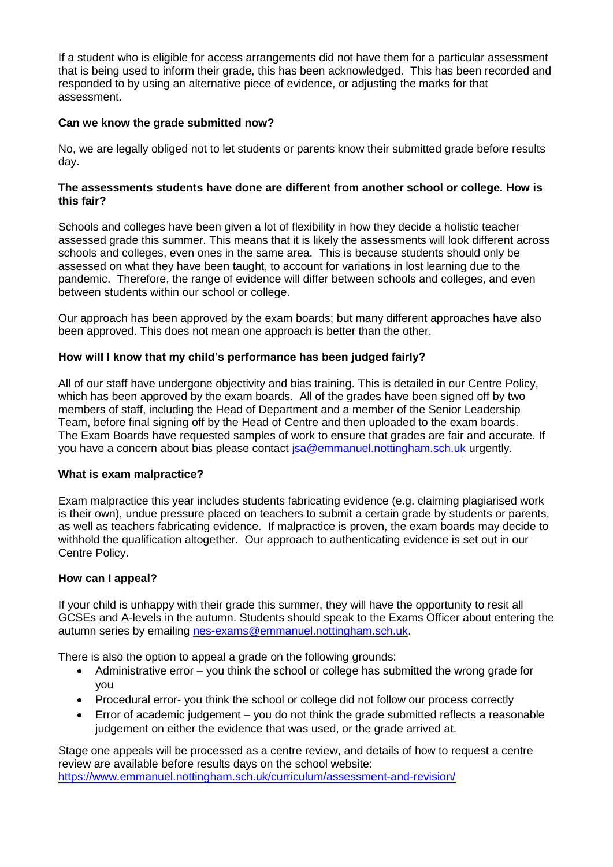If a student who is eligible for access arrangements did not have them for a particular assessment that is being used to inform their grade, this has been acknowledged. This has been recorded and responded to by using an alternative piece of evidence, or adjusting the marks for that assessment.

## **Can we know the grade submitted now?**

No, we are legally obliged not to let students or parents know their submitted grade before results day.

### **The assessments students have done are different from another school or college. How is this fair?**

Schools and colleges have been given a lot of flexibility in how they decide a holistic teacher assessed grade this summer. This means that it is likely the assessments will look different across schools and colleges, even ones in the same area. This is because students should only be assessed on what they have been taught, to account for variations in lost learning due to the pandemic. Therefore, the range of evidence will differ between schools and colleges, and even between students within our school or college.

Our approach has been approved by the exam boards; but many different approaches have also been approved. This does not mean one approach is better than the other.

### **How will I know that my child's performance has been judged fairly?**

All of our staff have undergone objectivity and bias training. This is detailed in our Centre Policy, which has been approved by the exam boards. All of the grades have been signed off by two members of staff, including the Head of Department and a member of the Senior Leadership Team, before final signing off by the Head of Centre and then uploaded to the exam boards. The Exam Boards have requested samples of work to ensure that grades are fair and accurate. If you have a concern about bias please contact [jsa@emmanuel.nottingham.sch.uk](mailto:jsa@emmanuel.nottingham.sch.uk) urgently.

### **What is exam malpractice?**

Exam malpractice this year includes students fabricating evidence (e.g. claiming plagiarised work is their own), undue pressure placed on teachers to submit a certain grade by students or parents, as well as teachers fabricating evidence. If malpractice is proven, the exam boards may decide to withhold the qualification altogether. Our approach to authenticating evidence is set out in our Centre Policy.

### **How can I appeal?**

If your child is unhappy with their grade this summer, they will have the opportunity to resit all GCSEs and A-levels in the autumn. Students should speak to the Exams Officer about entering the autumn series by emailing [nes-exams@emmanuel.nottingham.sch.uk.](mailto:nes-exams@emmanuel.nottingham.sch.uk)

There is also the option to appeal a grade on the following grounds:

- Administrative error you think the school or college has submitted the wrong grade for you
- Procedural error- you think the school or college did not follow our process correctly
- Error of academic judgement you do not think the grade submitted reflects a reasonable judgement on either the evidence that was used, or the grade arrived at.

Stage one appeals will be processed as a centre review, and details of how to request a centre review are available before results days on the school website: <https://www.emmanuel.nottingham.sch.uk/curriculum/assessment-and-revision/>